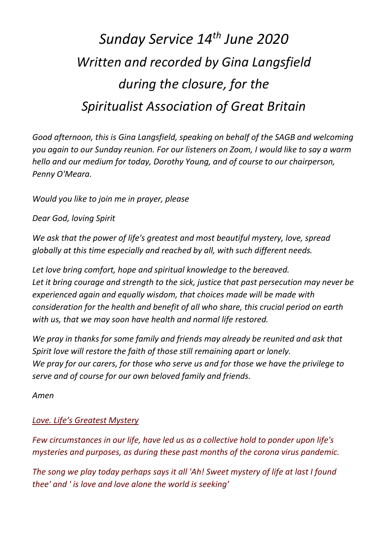## *Sunday Service 14th June 2020 Written and recorded by Gina Langsfield during the closure, for the Spiritualist Association of Great Britain*

*Good afternoon, this is Gina Langsfield, speaking on behalf of the SAGB and welcoming you again to our Sunday reunion. For our listeners on Zoom, I would like to say a warm hello and our medium for today, Dorothy Young, and of course to our chairperson, Penny O'Meara.*

*Would you like to join me in prayer, please*

*Dear God, loving Spirit*

*We ask that the power of life's greatest and most beautiful mystery, love, spread globally at this time especially and reached by all, with such different needs.* 

*Let love bring comfort, hope and spiritual knowledge to the bereaved. Let it bring courage and strength to the sick, justice that past persecution may never be experienced again and equally wisdom, that choices made will be made with consideration for the health and benefit of all who share, this crucial period on earth with us, that we may soon have health and normal life restored.*

*We pray in thanks for some family and friends may already be reunited and ask that Spirit love will restore the faith of those still remaining apart or lonely. We pray for our carers, for those who serve us and for those we have the privilege to serve and of course for our own beloved family and friends.*

*Amen*

## *Love. Life's Greatest Mystery*

*Few circumstances in our life, have led us as a collective hold to ponder upon life's mysteries and purposes, as during these past months of the corona virus pandemic.* 

*The song we play today perhaps says it all 'Ah! Sweet mystery of life at last I found thee' and ' is love and love alone the world is seeking'*